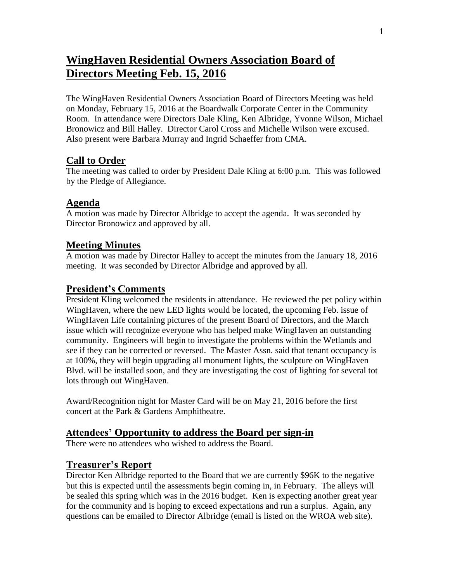# **WingHaven Residential Owners Association Board of Directors Meeting Feb. 15, 2016**

The WingHaven Residential Owners Association Board of Directors Meeting was held on Monday, February 15, 2016 at the Boardwalk Corporate Center in the Community Room. In attendance were Directors Dale Kling, Ken Albridge, Yvonne Wilson, Michael Bronowicz and Bill Halley. Director Carol Cross and Michelle Wilson were excused. Also present were Barbara Murray and Ingrid Schaeffer from CMA.

#### **Call to Order**

The meeting was called to order by President Dale Kling at 6:00 p.m. This was followed by the Pledge of Allegiance.

## **Agenda**

A motion was made by Director Albridge to accept the agenda. It was seconded by Director Bronowicz and approved by all.

#### **Meeting Minutes**

A motion was made by Director Halley to accept the minutes from the January 18, 2016 meeting. It was seconded by Director Albridge and approved by all.

### **President's Comments**

President Kling welcomed the residents in attendance. He reviewed the pet policy within WingHaven, where the new LED lights would be located, the upcoming Feb. issue of WingHaven Life containing pictures of the present Board of Directors, and the March issue which will recognize everyone who has helped make WingHaven an outstanding community. Engineers will begin to investigate the problems within the Wetlands and see if they can be corrected or reversed. The Master Assn. said that tenant occupancy is at 100%, they will begin upgrading all monument lights, the sculpture on WingHaven Blvd. will be installed soon, and they are investigating the cost of lighting for several tot lots through out WingHaven.

Award/Recognition night for Master Card will be on May 21, 2016 before the first concert at the Park & Gardens Amphitheatre.

#### **Attendees' Opportunity to address the Board per sign-in**

There were no attendees who wished to address the Board.

#### **Treasurer's Report**

Director Ken Albridge reported to the Board that we are currently \$96K to the negative but this is expected until the assessments begin coming in, in February. The alleys will be sealed this spring which was in the 2016 budget. Ken is expecting another great year for the community and is hoping to exceed expectations and run a surplus. Again, any questions can be emailed to Director Albridge (email is listed on the WROA web site).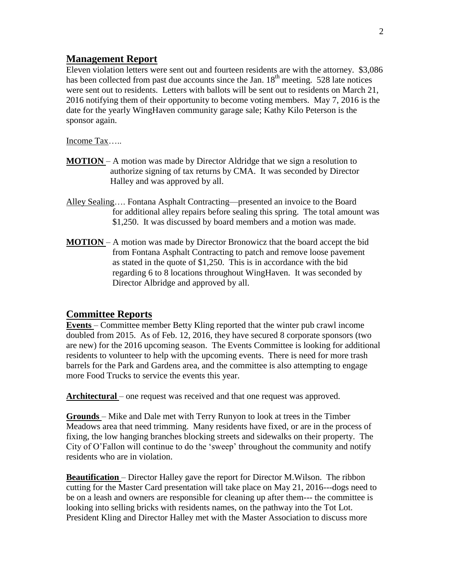#### **Management Report**

Eleven violation letters were sent out and fourteen residents are with the attorney. \$3,086 has been collected from past due accounts since the Jan.  $18<sup>th</sup>$  meeting. 528 late notices were sent out to residents. Letters with ballots will be sent out to residents on March 21, 2016 notifying them of their opportunity to become voting members. May 7, 2016 is the date for the yearly WingHaven community garage sale; Kathy Kilo Peterson is the sponsor again.

Income Tax…..

- **MOTION**  A motion was made by Director Aldridge that we sign a resolution to authorize signing of tax returns by CMA. It was seconded by Director Halley and was approved by all.
- Alley Sealing…. Fontana Asphalt Contracting—presented an invoice to the Board for additional alley repairs before sealing this spring. The total amount was \$1,250. It was discussed by board members and a motion was made.
- **MOTION**  A motion was made by Director Bronowicz that the board accept the bid from Fontana Asphalt Contracting to patch and remove loose pavement as stated in the quote of \$1,250. This is in accordance with the bid regarding 6 to 8 locations throughout WingHaven. It was seconded by Director Albridge and approved by all.

#### **Committee Reports**

**Events** – Committee member Betty Kling reported that the winter pub crawl income doubled from 2015. As of Feb. 12, 2016, they have secured 8 corporate sponsors (two are new) for the 2016 upcoming season. The Events Committee is looking for additional residents to volunteer to help with the upcoming events. There is need for more trash barrels for the Park and Gardens area, and the committee is also attempting to engage more Food Trucks to service the events this year.

Architectural – one request was received and that one request was approved.

**Grounds** – Mike and Dale met with Terry Runyon to look at trees in the Timber Meadows area that need trimming. Many residents have fixed, or are in the process of fixing, the low hanging branches blocking streets and sidewalks on their property. The City of O'Fallon will continue to do the 'sweep' throughout the community and notify residents who are in violation.

**Beautification** – Director Halley gave the report for Director M.Wilson. The ribbon cutting for the Master Card presentation will take place on May 21, 2016---dogs need to be on a leash and owners are responsible for cleaning up after them--- the committee is looking into selling bricks with residents names, on the pathway into the Tot Lot. President Kling and Director Halley met with the Master Association to discuss more